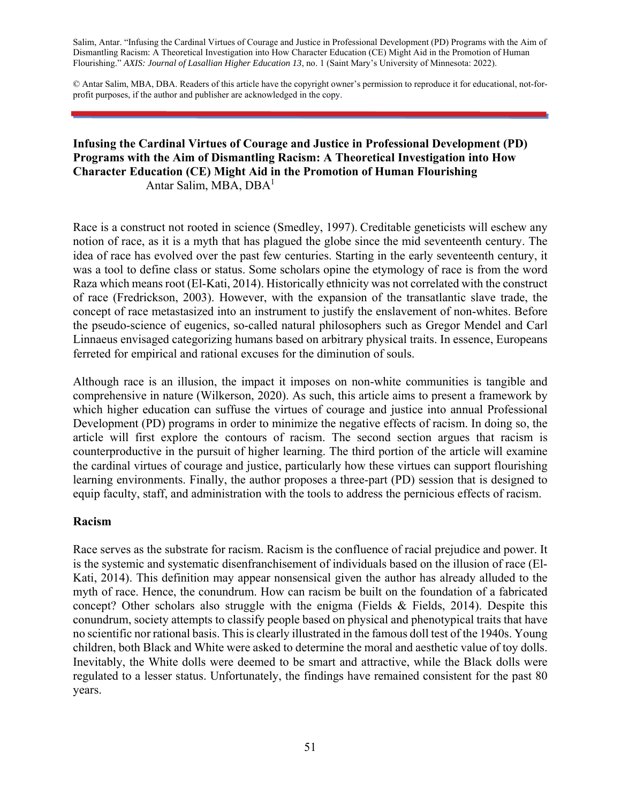Salim, Antar. "Infusing the Cardinal Virtues of Courage and Justice in Professional Development (PD) Programs with the Aim of Dismantling Racism: A Theoretical Investigation into How Character Education (CE) Might Aid in the Promotion of Human Flourishing." *AXIS: Journal of Lasallian Higher Education 13*, no. 1 (Saint Mary's University of Minnesota: 2022).

© Antar Salim, MBA, DBA. Readers of this article have the copyright owner's permission to reproduce it for educational, not-forprofit purposes, if the author and publisher are acknowledged in the copy.

#### **Infusing the Cardinal Virtues of Courage and Justice in Professional Development (PD) Programs with the Aim of Dismantling Racism: A Theoretical Investigation into How Character Education (CE) Might Aid in the Promotion of Human Flourishing**  Antar Salim, MBA, DBA1

Race is a construct not rooted in science (Smedley, 1997). Creditable geneticists will eschew any notion of race, as it is a myth that has plagued the globe since the mid seventeenth century. The idea of race has evolved over the past few centuries. Starting in the early seventeenth century, it was a tool to define class or status. Some scholars opine the etymology of race is from the word Raza which means root (El-Kati, 2014). Historically ethnicity was not correlated with the construct of race (Fredrickson, 2003). However, with the expansion of the transatlantic slave trade, the concept of race metastasized into an instrument to justify the enslavement of non-whites. Before the pseudo-science of eugenics, so-called natural philosophers such as Gregor Mendel and Carl Linnaeus envisaged categorizing humans based on arbitrary physical traits. In essence, Europeans ferreted for empirical and rational excuses for the diminution of souls.

Although race is an illusion, the impact it imposes on non-white communities is tangible and comprehensive in nature (Wilkerson, 2020). As such, this article aims to present a framework by which higher education can suffuse the virtues of courage and justice into annual Professional Development (PD) programs in order to minimize the negative effects of racism. In doing so, the article will first explore the contours of racism. The second section argues that racism is counterproductive in the pursuit of higher learning. The third portion of the article will examine the cardinal virtues of courage and justice, particularly how these virtues can support flourishing learning environments. Finally, the author proposes a three-part (PD) session that is designed to equip faculty, staff, and administration with the tools to address the pernicious effects of racism.

#### **Racism**

Race serves as the substrate for racism. Racism is the confluence of racial prejudice and power. It is the systemic and systematic disenfranchisement of individuals based on the illusion of race (El-Kati, 2014). This definition may appear nonsensical given the author has already alluded to the myth of race. Hence, the conundrum. How can racism be built on the foundation of a fabricated concept? Other scholars also struggle with the enigma (Fields & Fields, 2014). Despite this conundrum, society attempts to classify people based on physical and phenotypical traits that have no scientific nor rational basis. This is clearly illustrated in the famous doll test of the 1940s. Young children, both Black and White were asked to determine the moral and aesthetic value of toy dolls. Inevitably, the White dolls were deemed to be smart and attractive, while the Black dolls were regulated to a lesser status. Unfortunately, the findings have remained consistent for the past 80 years.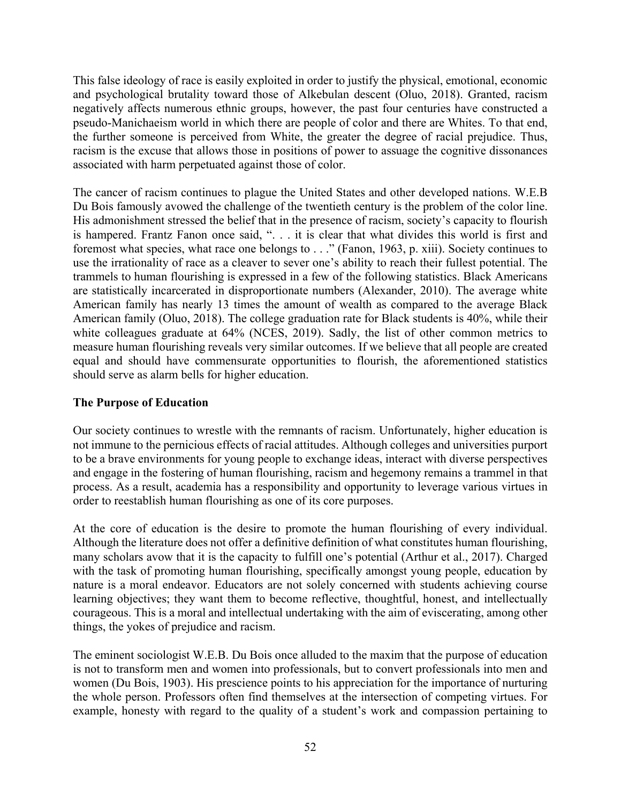This false ideology of race is easily exploited in order to justify the physical, emotional, economic and psychological brutality toward those of Alkebulan descent (Oluo, 2018). Granted, racism negatively affects numerous ethnic groups, however, the past four centuries have constructed a pseudo-Manichaeism world in which there are people of color and there are Whites. To that end, the further someone is perceived from White, the greater the degree of racial prejudice. Thus, racism is the excuse that allows those in positions of power to assuage the cognitive dissonances associated with harm perpetuated against those of color.

The cancer of racism continues to plague the United States and other developed nations. W.E.B Du Bois famously avowed the challenge of the twentieth century is the problem of the color line. His admonishment stressed the belief that in the presence of racism, society's capacity to flourish is hampered. Frantz Fanon once said, ". . . it is clear that what divides this world is first and foremost what species, what race one belongs to . . ." (Fanon, 1963, p. xiii). Society continues to use the irrationality of race as a cleaver to sever one's ability to reach their fullest potential. The trammels to human flourishing is expressed in a few of the following statistics. Black Americans are statistically incarcerated in disproportionate numbers (Alexander, 2010). The average white American family has nearly 13 times the amount of wealth as compared to the average Black American family (Oluo, 2018). The college graduation rate for Black students is 40%, while their white colleagues graduate at 64% (NCES, 2019). Sadly, the list of other common metrics to measure human flourishing reveals very similar outcomes. If we believe that all people are created equal and should have commensurate opportunities to flourish, the aforementioned statistics should serve as alarm bells for higher education.

## **The Purpose of Education**

Our society continues to wrestle with the remnants of racism. Unfortunately, higher education is not immune to the pernicious effects of racial attitudes. Although colleges and universities purport to be a brave environments for young people to exchange ideas, interact with diverse perspectives and engage in the fostering of human flourishing, racism and hegemony remains a trammel in that process. As a result, academia has a responsibility and opportunity to leverage various virtues in order to reestablish human flourishing as one of its core purposes.

At the core of education is the desire to promote the human flourishing of every individual. Although the literature does not offer a definitive definition of what constitutes human flourishing, many scholars avow that it is the capacity to fulfill one's potential (Arthur et al., 2017). Charged with the task of promoting human flourishing, specifically amongst young people, education by nature is a moral endeavor. Educators are not solely concerned with students achieving course learning objectives; they want them to become reflective, thoughtful, honest, and intellectually courageous. This is a moral and intellectual undertaking with the aim of eviscerating, among other things, the yokes of prejudice and racism.

The eminent sociologist W.E.B. Du Bois once alluded to the maxim that the purpose of education is not to transform men and women into professionals, but to convert professionals into men and women (Du Bois, 1903). His prescience points to his appreciation for the importance of nurturing the whole person. Professors often find themselves at the intersection of competing virtues. For example, honesty with regard to the quality of a student's work and compassion pertaining to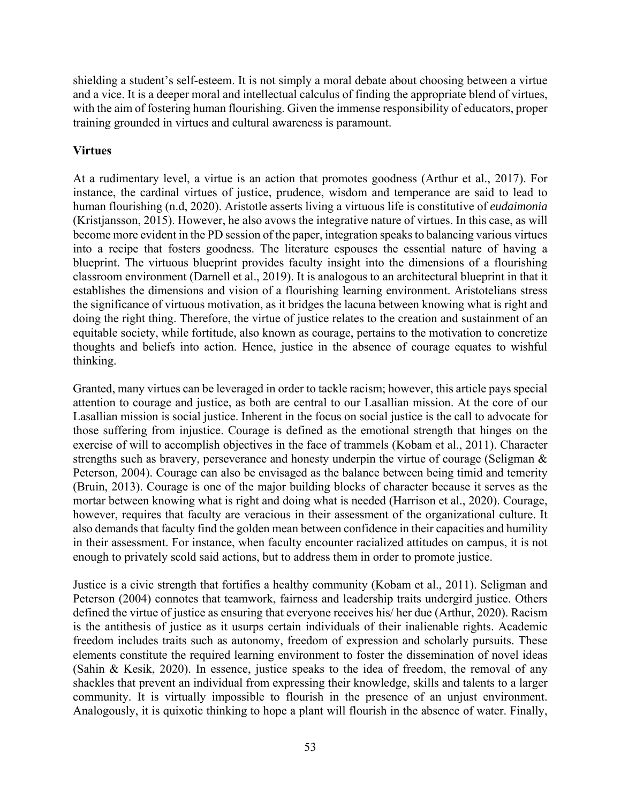shielding a student's self-esteem. It is not simply a moral debate about choosing between a virtue and a vice. It is a deeper moral and intellectual calculus of finding the appropriate blend of virtues, with the aim of fostering human flourishing. Given the immense responsibility of educators, proper training grounded in virtues and cultural awareness is paramount.

# **Virtues**

At a rudimentary level, a virtue is an action that promotes goodness (Arthur et al., 2017). For instance, the cardinal virtues of justice, prudence, wisdom and temperance are said to lead to human flourishing (n.d, 2020). Aristotle asserts living a virtuous life is constitutive of *eudaimonia* (Kristjansson, 2015). However, he also avows the integrative nature of virtues. In this case, as will become more evident in the PD session of the paper, integration speaks to balancing various virtues into a recipe that fosters goodness. The literature espouses the essential nature of having a blueprint. The virtuous blueprint provides faculty insight into the dimensions of a flourishing classroom environment (Darnell et al., 2019). It is analogous to an architectural blueprint in that it establishes the dimensions and vision of a flourishing learning environment. Aristotelians stress the significance of virtuous motivation, as it bridges the lacuna between knowing what is right and doing the right thing. Therefore, the virtue of justice relates to the creation and sustainment of an equitable society, while fortitude, also known as courage, pertains to the motivation to concretize thoughts and beliefs into action. Hence, justice in the absence of courage equates to wishful thinking.

Granted, many virtues can be leveraged in order to tackle racism; however, this article pays special attention to courage and justice, as both are central to our Lasallian mission. At the core of our Lasallian mission is social justice. Inherent in the focus on social justice is the call to advocate for those suffering from injustice. Courage is defined as the emotional strength that hinges on the exercise of will to accomplish objectives in the face of trammels (Kobam et al., 2011). Character strengths such as bravery, perseverance and honesty underpin the virtue of courage (Seligman & Peterson, 2004). Courage can also be envisaged as the balance between being timid and temerity (Bruin, 2013). Courage is one of the major building blocks of character because it serves as the mortar between knowing what is right and doing what is needed (Harrison et al., 2020). Courage, however, requires that faculty are veracious in their assessment of the organizational culture. It also demands that faculty find the golden mean between confidence in their capacities and humility in their assessment. For instance, when faculty encounter racialized attitudes on campus, it is not enough to privately scold said actions, but to address them in order to promote justice.

Justice is a civic strength that fortifies a healthy community (Kobam et al., 2011). Seligman and Peterson (2004) connotes that teamwork, fairness and leadership traits undergird justice. Others defined the virtue of justice as ensuring that everyone receives his/ her due (Arthur, 2020). Racism is the antithesis of justice as it usurps certain individuals of their inalienable rights. Academic freedom includes traits such as autonomy, freedom of expression and scholarly pursuits. These elements constitute the required learning environment to foster the dissemination of novel ideas (Sahin & Kesik, 2020). In essence, justice speaks to the idea of freedom, the removal of any shackles that prevent an individual from expressing their knowledge, skills and talents to a larger community. It is virtually impossible to flourish in the presence of an unjust environment. Analogously, it is quixotic thinking to hope a plant will flourish in the absence of water. Finally,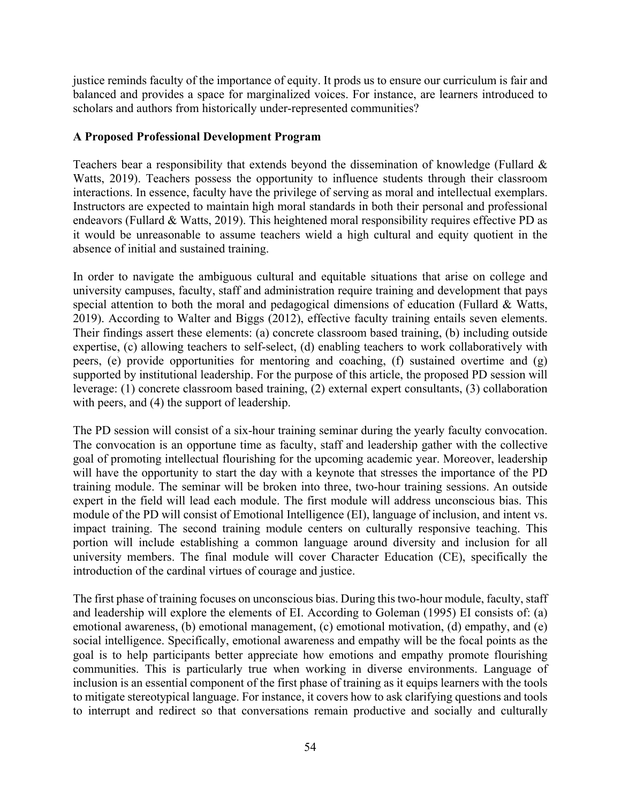justice reminds faculty of the importance of equity. It prods us to ensure our curriculum is fair and balanced and provides a space for marginalized voices. For instance, are learners introduced to scholars and authors from historically under-represented communities?

### **A Proposed Professional Development Program**

Teachers bear a responsibility that extends beyond the dissemination of knowledge (Fullard & Watts, 2019). Teachers possess the opportunity to influence students through their classroom interactions. In essence, faculty have the privilege of serving as moral and intellectual exemplars. Instructors are expected to maintain high moral standards in both their personal and professional endeavors (Fullard & Watts, 2019). This heightened moral responsibility requires effective PD as it would be unreasonable to assume teachers wield a high cultural and equity quotient in the absence of initial and sustained training.

In order to navigate the ambiguous cultural and equitable situations that arise on college and university campuses, faculty, staff and administration require training and development that pays special attention to both the moral and pedagogical dimensions of education (Fullard & Watts, 2019). According to Walter and Biggs (2012), effective faculty training entails seven elements. Their findings assert these elements: (a) concrete classroom based training, (b) including outside expertise, (c) allowing teachers to self-select, (d) enabling teachers to work collaboratively with peers, (e) provide opportunities for mentoring and coaching, (f) sustained overtime and (g) supported by institutional leadership. For the purpose of this article, the proposed PD session will leverage: (1) concrete classroom based training, (2) external expert consultants, (3) collaboration with peers, and (4) the support of leadership.

The PD session will consist of a six-hour training seminar during the yearly faculty convocation. The convocation is an opportune time as faculty, staff and leadership gather with the collective goal of promoting intellectual flourishing for the upcoming academic year. Moreover, leadership will have the opportunity to start the day with a keynote that stresses the importance of the PD training module. The seminar will be broken into three, two-hour training sessions. An outside expert in the field will lead each module. The first module will address unconscious bias. This module of the PD will consist of Emotional Intelligence (EI), language of inclusion, and intent vs. impact training. The second training module centers on culturally responsive teaching. This portion will include establishing a common language around diversity and inclusion for all university members. The final module will cover Character Education (CE), specifically the introduction of the cardinal virtues of courage and justice.

The first phase of training focuses on unconscious bias. During this two-hour module, faculty, staff and leadership will explore the elements of EI. According to Goleman (1995) EI consists of: (a) emotional awareness, (b) emotional management, (c) emotional motivation, (d) empathy, and (e) social intelligence. Specifically, emotional awareness and empathy will be the focal points as the goal is to help participants better appreciate how emotions and empathy promote flourishing communities. This is particularly true when working in diverse environments. Language of inclusion is an essential component of the first phase of training as it equips learners with the tools to mitigate stereotypical language. For instance, it covers how to ask clarifying questions and tools to interrupt and redirect so that conversations remain productive and socially and culturally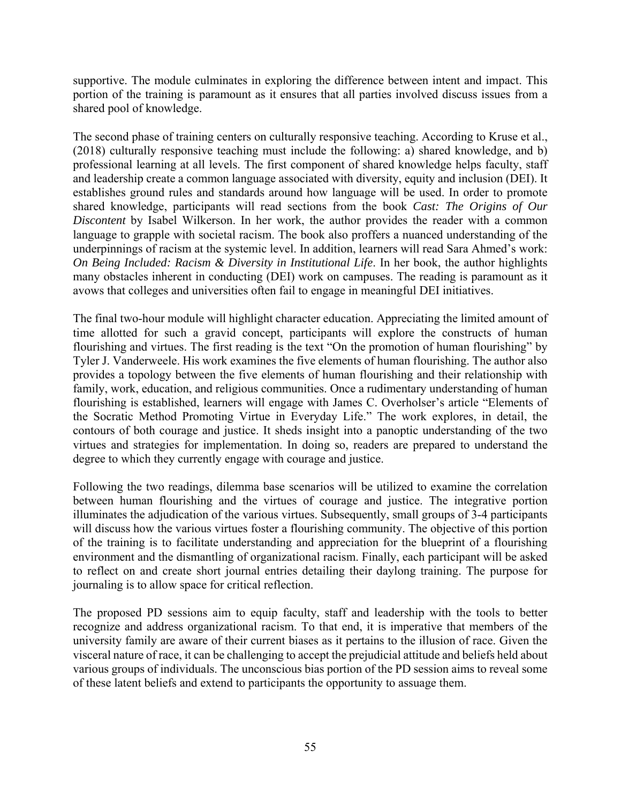supportive. The module culminates in exploring the difference between intent and impact. This portion of the training is paramount as it ensures that all parties involved discuss issues from a shared pool of knowledge.

The second phase of training centers on culturally responsive teaching. According to Kruse et al., (2018) culturally responsive teaching must include the following: a) shared knowledge, and b) professional learning at all levels. The first component of shared knowledge helps faculty, staff and leadership create a common language associated with diversity, equity and inclusion (DEI). It establishes ground rules and standards around how language will be used. In order to promote shared knowledge, participants will read sections from the book *Cast: The Origins of Our Discontent* by Isabel Wilkerson. In her work, the author provides the reader with a common language to grapple with societal racism. The book also proffers a nuanced understanding of the underpinnings of racism at the systemic level. In addition, learners will read Sara Ahmed's work: *On Being Included: Racism & Diversity in Institutional Life*. In her book, the author highlights many obstacles inherent in conducting (DEI) work on campuses. The reading is paramount as it avows that colleges and universities often fail to engage in meaningful DEI initiatives.

The final two-hour module will highlight character education. Appreciating the limited amount of time allotted for such a gravid concept, participants will explore the constructs of human flourishing and virtues. The first reading is the text "On the promotion of human flourishing" by Tyler J. Vanderweele. His work examines the five elements of human flourishing. The author also provides a topology between the five elements of human flourishing and their relationship with family, work, education, and religious communities. Once a rudimentary understanding of human flourishing is established, learners will engage with James C. Overholser's article "Elements of the Socratic Method Promoting Virtue in Everyday Life." The work explores, in detail, the contours of both courage and justice. It sheds insight into a panoptic understanding of the two virtues and strategies for implementation. In doing so, readers are prepared to understand the degree to which they currently engage with courage and justice.

Following the two readings, dilemma base scenarios will be utilized to examine the correlation between human flourishing and the virtues of courage and justice. The integrative portion illuminates the adjudication of the various virtues. Subsequently, small groups of 3-4 participants will discuss how the various virtues foster a flourishing community. The objective of this portion of the training is to facilitate understanding and appreciation for the blueprint of a flourishing environment and the dismantling of organizational racism. Finally, each participant will be asked to reflect on and create short journal entries detailing their daylong training. The purpose for journaling is to allow space for critical reflection.

The proposed PD sessions aim to equip faculty, staff and leadership with the tools to better recognize and address organizational racism. To that end, it is imperative that members of the university family are aware of their current biases as it pertains to the illusion of race. Given the visceral nature of race, it can be challenging to accept the prejudicial attitude and beliefs held about various groups of individuals. The unconscious bias portion of the PD session aims to reveal some of these latent beliefs and extend to participants the opportunity to assuage them.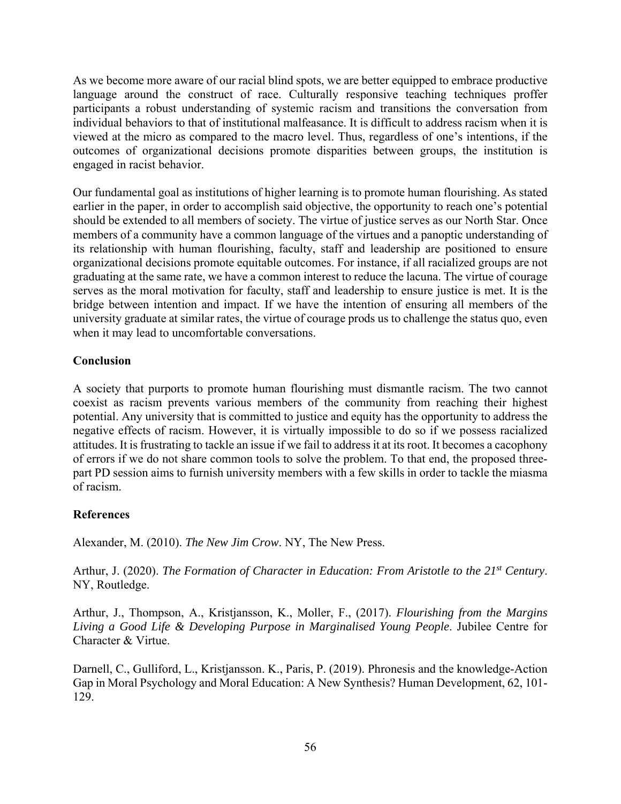As we become more aware of our racial blind spots, we are better equipped to embrace productive language around the construct of race. Culturally responsive teaching techniques proffer participants a robust understanding of systemic racism and transitions the conversation from individual behaviors to that of institutional malfeasance. It is difficult to address racism when it is viewed at the micro as compared to the macro level. Thus, regardless of one's intentions, if the outcomes of organizational decisions promote disparities between groups, the institution is engaged in racist behavior.

Our fundamental goal as institutions of higher learning is to promote human flourishing. As stated earlier in the paper, in order to accomplish said objective, the opportunity to reach one's potential should be extended to all members of society. The virtue of justice serves as our North Star. Once members of a community have a common language of the virtues and a panoptic understanding of its relationship with human flourishing, faculty, staff and leadership are positioned to ensure organizational decisions promote equitable outcomes. For instance, if all racialized groups are not graduating at the same rate, we have a common interest to reduce the lacuna. The virtue of courage serves as the moral motivation for faculty, staff and leadership to ensure justice is met. It is the bridge between intention and impact. If we have the intention of ensuring all members of the university graduate at similar rates, the virtue of courage prods us to challenge the status quo, even when it may lead to uncomfortable conversations.

# **Conclusion**

A society that purports to promote human flourishing must dismantle racism. The two cannot coexist as racism prevents various members of the community from reaching their highest potential. Any university that is committed to justice and equity has the opportunity to address the negative effects of racism. However, it is virtually impossible to do so if we possess racialized attitudes. It is frustrating to tackle an issue if we fail to address it at its root. It becomes a cacophony of errors if we do not share common tools to solve the problem. To that end, the proposed threepart PD session aims to furnish university members with a few skills in order to tackle the miasma of racism.

# **References**

Alexander, M. (2010). *The New Jim Crow*. NY, The New Press.

Arthur, J. (2020). *The Formation of Character in Education: From Aristotle to the 21st Century*. NY, Routledge.

Arthur, J., Thompson, A., Kristjansson, K., Moller, F., (2017). *Flourishing from the Margins Living a Good Life & Developing Purpose in Marginalised Young People*. Jubilee Centre for Character & Virtue.

Darnell, C., Gulliford, L., Kristjansson. K., Paris, P. (2019). Phronesis and the knowledge-Action Gap in Moral Psychology and Moral Education: A New Synthesis? Human Development, 62, 101- 129.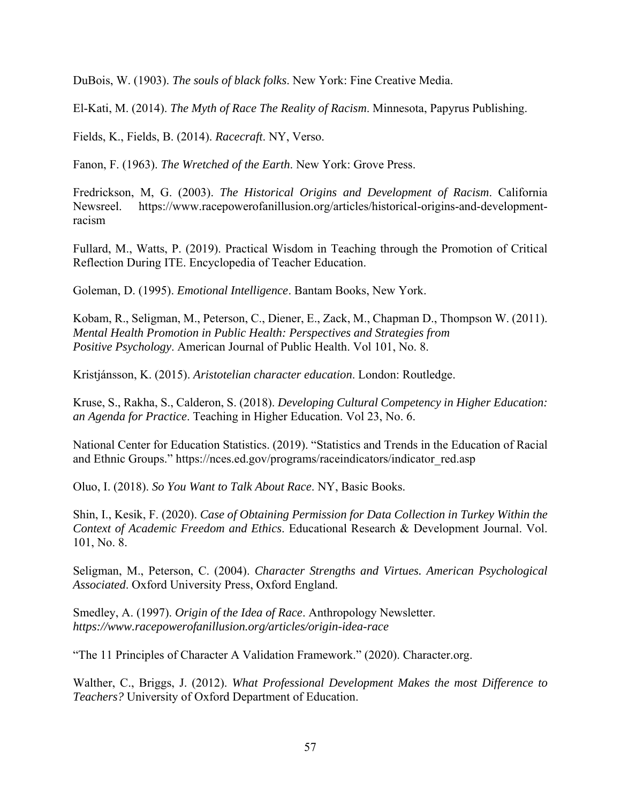DuBois, W. (1903). *The souls of black folks*. New York: Fine Creative Media.

El-Kati, M. (2014). *The Myth of Race The Reality of Racism*. Minnesota, Papyrus Publishing.

Fields, K., Fields, B. (2014). *Racecraft*. NY, Verso.

Fanon, F. (1963). *The Wretched of the Earth*. New York: Grove Press.

Fredrickson, M, G. (2003). *The Historical Origins and Development of Racism*. California Newsreel. https://www.racepowerofanillusion.org/articles/historical-origins-and-developmentracism

Fullard, M., Watts, P. (2019). Practical Wisdom in Teaching through the Promotion of Critical Reflection During ITE. Encyclopedia of Teacher Education.

Goleman, D. (1995). *Emotional Intelligence*. Bantam Books, New York.

Kobam, R., Seligman, M., Peterson, C., Diener, E., Zack, M., Chapman D., Thompson W. (2011). *Mental Health Promotion in Public Health: Perspectives and Strategies from Positive Psychology*. American Journal of Public Health. Vol 101, No. 8.

Kristjánsson, K. (2015). *Aristotelian character education*. London: Routledge.

Kruse, S., Rakha, S., Calderon, S. (2018). *Developing Cultural Competency in Higher Education: an Agenda for Practice*. Teaching in Higher Education. Vol 23, No. 6.

National Center for Education Statistics. (2019). "Statistics and Trends in the Education of Racial and Ethnic Groups." https://nces.ed.gov/programs/raceindicators/indicator\_red.asp

Oluo, I. (2018). *So You Want to Talk About Race*. NY, Basic Books.

Shin, I., Kesik, F. (2020). *Case of Obtaining Permission for Data Collection in Turkey Within the Context of Academic Freedom and Ethics*. Educational Research & Development Journal. Vol. 101, No. 8.

Seligman, M., Peterson, C. (2004). *Character Strengths and Virtues. American Psychological Associated*. Oxford University Press, Oxford England.

Smedley, A. (1997). *Origin of the Idea of Race*. Anthropology Newsletter. *https://www.racepowerofanillusion.org/articles/origin-idea-race* 

"The 11 Principles of Character A Validation Framework." (2020). Character.org.

Walther, C., Briggs, J. (2012). *What Professional Development Makes the most Difference to Teachers?* University of Oxford Department of Education.